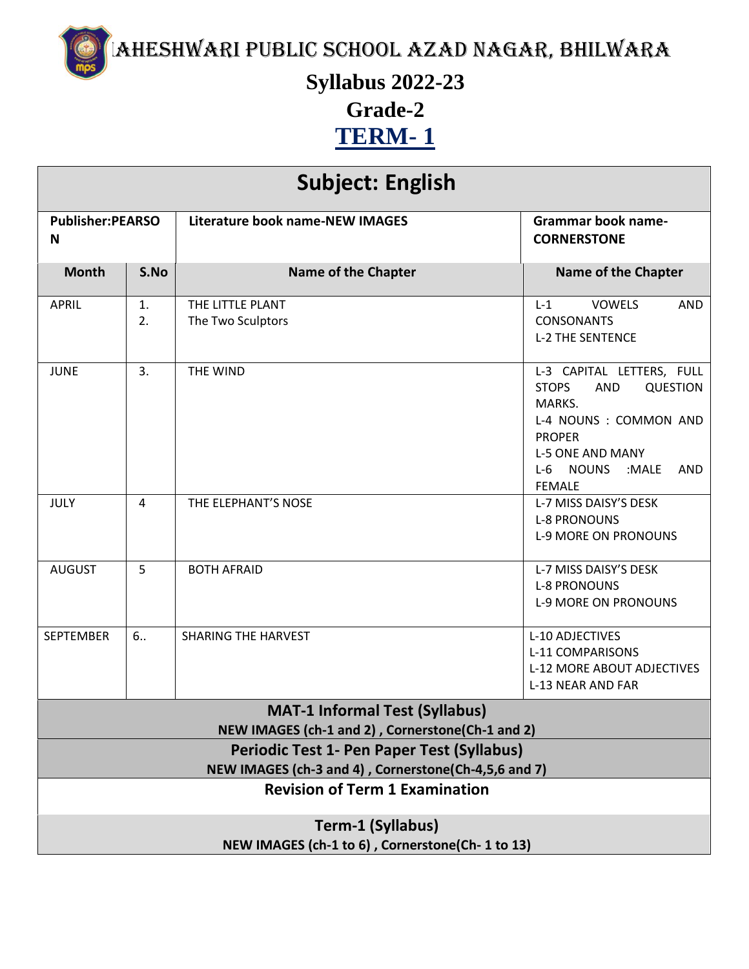Maheshwari Public School Azad Nagar, Bhilwara

**Syllabus 2022-23**

**Grade-2**

**TERM- 1**

| <b>Subject: English</b>                                                                        |          |                                       |                                                                                                                                                                                                                             |  |
|------------------------------------------------------------------------------------------------|----------|---------------------------------------|-----------------------------------------------------------------------------------------------------------------------------------------------------------------------------------------------------------------------------|--|
| <b>Publisher:PEARSO</b><br>N                                                                   |          | Literature book name-NEW IMAGES       | <b>Grammar book name-</b><br><b>CORNERSTONE</b>                                                                                                                                                                             |  |
| <b>Month</b>                                                                                   | S.No     | <b>Name of the Chapter</b>            | <b>Name of the Chapter</b>                                                                                                                                                                                                  |  |
| <b>APRIL</b>                                                                                   | 1.<br>2. | THE LITTLE PLANT<br>The Two Sculptors | <b>VOWELS</b><br>$L-1$<br><b>AND</b><br><b>CONSONANTS</b><br><b>L-2 THE SENTENCE</b>                                                                                                                                        |  |
| <b>JUNE</b>                                                                                    | 3.       | THE WIND                              | L-3 CAPITAL LETTERS, FULL<br><b>AND</b><br><b>QUESTION</b><br><b>STOPS</b><br>MARKS.<br>L-4 NOUNS : COMMON AND<br><b>PROPER</b><br><b>L-5 ONE AND MANY</b><br>$L-6$<br><b>NOUNS</b><br>:MALE<br><b>AND</b><br><b>FEMALE</b> |  |
| JULY                                                                                           | 4        | THE ELEPHANT'S NOSE                   | L-7 MISS DAISY'S DESK<br><b>L-8 PRONOUNS</b><br><b>L-9 MORE ON PRONOUNS</b>                                                                                                                                                 |  |
| <b>AUGUST</b>                                                                                  | 5        | <b>BOTH AFRAID</b>                    | L-7 MISS DAISY'S DESK<br><b>L-8 PRONOUNS</b><br><b>L-9 MORE ON PRONOUNS</b>                                                                                                                                                 |  |
| <b>SEPTEMBER</b>                                                                               | 6.       | <b>SHARING THE HARVEST</b>            | L-10 ADJECTIVES<br>L-11 COMPARISONS<br><b>L-12 MORE ABOUT ADJECTIVES</b><br>L-13 NEAR AND FAR                                                                                                                               |  |
| <b>MAT-1 Informal Test (Syllabus)</b>                                                          |          |                                       |                                                                                                                                                                                                                             |  |
| NEW IMAGES (ch-1 and 2), Cornerstone(Ch-1 and 2)<br>Periodic Test 1- Pen Paper Test (Syllabus) |          |                                       |                                                                                                                                                                                                                             |  |
| NEW IMAGES (ch-3 and 4), Cornerstone(Ch-4,5,6 and 7)                                           |          |                                       |                                                                                                                                                                                                                             |  |
| <b>Revision of Term 1 Examination</b>                                                          |          |                                       |                                                                                                                                                                                                                             |  |
| Term-1 (Syllabus)                                                                              |          |                                       |                                                                                                                                                                                                                             |  |
| NEW IMAGES (ch-1 to 6), Cornerstone(Ch-1 to 13)                                                |          |                                       |                                                                                                                                                                                                                             |  |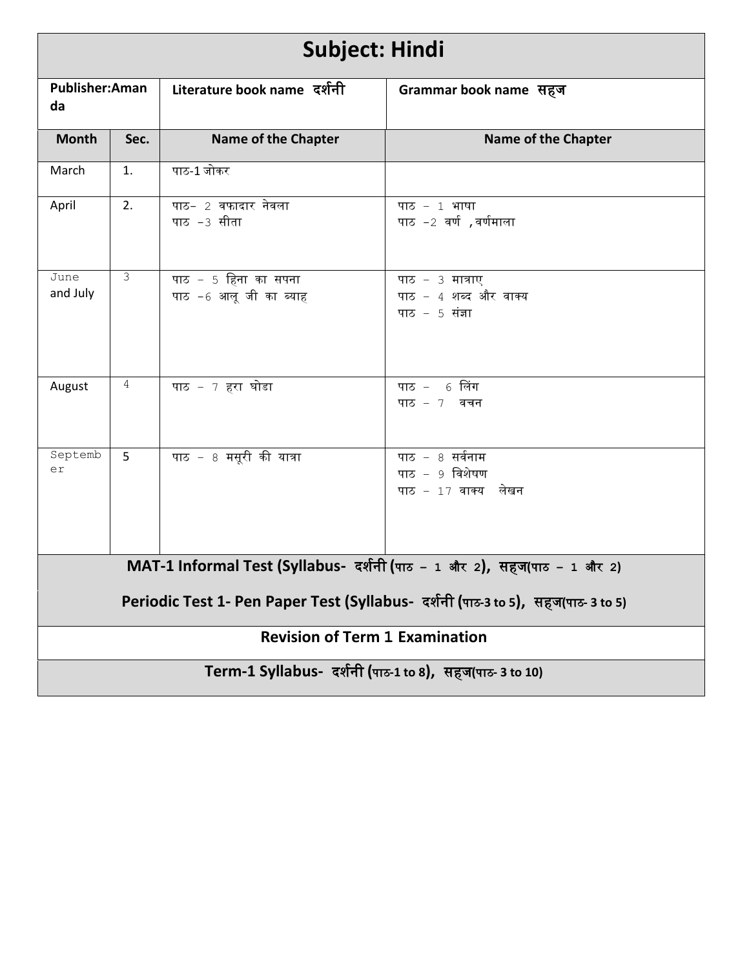| <b>Subject: Hindi</b>                                                           |                |                                                |                                                             |  |  |
|---------------------------------------------------------------------------------|----------------|------------------------------------------------|-------------------------------------------------------------|--|--|
| <b>Publisher:Aman</b><br>da                                                     |                | Literature book name दर्शनी                    | Grammar book name सहज                                       |  |  |
| <b>Month</b>                                                                    | Sec.           | <b>Name of the Chapter</b>                     | <b>Name of the Chapter</b>                                  |  |  |
| March                                                                           | 1.             | पाठ-1 जोकर                                     |                                                             |  |  |
| April                                                                           | 2.             | पाठ- 2 वफादार नेवला<br>पाठ -3 सीता             | पाठ - 1 भाषा<br>पाठ −2 वर्ण,वर्णमाला                        |  |  |
| June<br>and July                                                                | 3              | पाठ – 5 हिना का सपना<br>पाठ -6 आलू जी का ब्याह | पाठ - 3 मात्राए<br>पाठ - 4 शब्द और वाक्य<br>पाठ $-5$ संज्ञा |  |  |
| August                                                                          | 4              | पाठ - 7 हरा घोडा                               | पाठ - 6 लिंग<br>पाठ $-7$ वचन                                |  |  |
| Septemb<br>er                                                                   | $5\phantom{.}$ | पाठ - 8 मसूरी की यात्रा                        | पाठ - 8 सर्वनाम<br>पाठ - 9 विशेषण<br>पाठ - 17 वाक्य लेखन    |  |  |
| MAT-1 Informal Test (Syllabus- दर्शनी (पाठ – 1 और 2), सहज(पाठ – 1 और 2)         |                |                                                |                                                             |  |  |
| Periodic Test 1- Pen Paper Test (Syllabus- दर्शनी (पाठ-3 to 5), सहज(पाठ-3 to 5) |                |                                                |                                                             |  |  |
| <b>Revision of Term 1 Examination</b>                                           |                |                                                |                                                             |  |  |
| Term-1 Syllabus- दर्शनी (पाठ-1 to 8), सहज(पाठ- 3 to 10)                         |                |                                                |                                                             |  |  |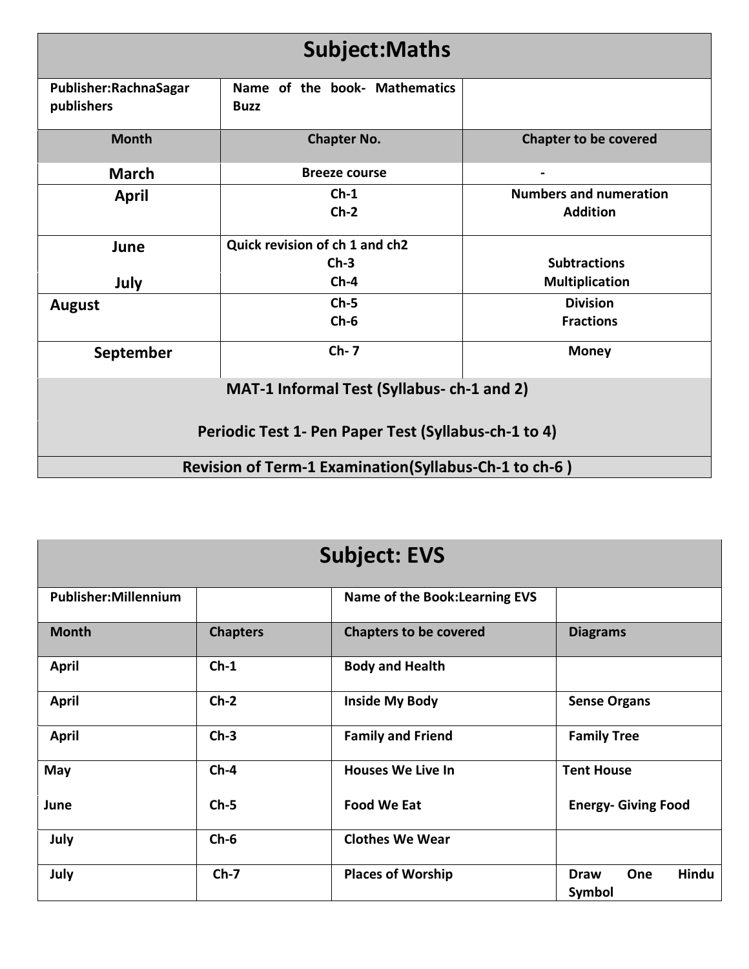| <b>Subject:Maths</b>                                  |                                              |                                                  |  |
|-------------------------------------------------------|----------------------------------------------|--------------------------------------------------|--|
| Publisher: Rachna Sagar<br>publishers                 | Name of the book- Mathematics<br><b>Buzz</b> |                                                  |  |
| <b>Month</b>                                          | <b>Chapter No.</b>                           | <b>Chapter to be covered</b>                     |  |
| <b>March</b>                                          | <b>Breeze course</b>                         |                                                  |  |
| <b>April</b>                                          | $Ch-1$<br>$Ch-2$                             | <b>Numbers and numeration</b><br><b>Addition</b> |  |
| June                                                  | Quick revision of ch 1 and ch2<br>$Ch-3$     | <b>Subtractions</b>                              |  |
| July                                                  | $Ch-4$                                       | <b>Multiplication</b>                            |  |
| <b>August</b>                                         | $Ch-5$<br>$Ch-6$                             | <b>Division</b><br><b>Fractions</b>              |  |
| September                                             | $Ch-7$                                       | <b>Money</b>                                     |  |
| MAT-1 Informal Test (Syllabus- ch-1 and 2)            |                                              |                                                  |  |
| Periodic Test 1- Pen Paper Test (Syllabus-ch-1 to 4)  |                                              |                                                  |  |
| Revision of Term-1 Examination(Syllabus-Ch-1 to ch-6) |                                              |                                                  |  |

| <b>Subject: EVS</b>         |                 |                                       |                                       |
|-----------------------------|-----------------|---------------------------------------|---------------------------------------|
| <b>Publisher:Millennium</b> |                 | <b>Name of the Book: Learning EVS</b> |                                       |
| <b>Month</b>                | <b>Chapters</b> | <b>Chapters to be covered</b>         | <b>Diagrams</b>                       |
| <b>April</b>                | $Ch-1$          | <b>Body and Health</b>                |                                       |
| <b>April</b>                | $Ch-2$          | <b>Inside My Body</b>                 | <b>Sense Organs</b>                   |
| <b>April</b>                | $Ch-3$          | <b>Family and Friend</b>              | <b>Family Tree</b>                    |
| May                         | $Ch-4$          | <b>Houses We Live In</b>              | <b>Tent House</b>                     |
| June                        | $Ch-5$          | <b>Food We Eat</b>                    | <b>Energy- Giving Food</b>            |
| July                        | $Ch-6$          | <b>Clothes We Wear</b>                |                                       |
| July                        | $Ch-7$          | <b>Places of Worship</b>              | Hindu<br>One<br><b>Draw</b><br>Symbol |